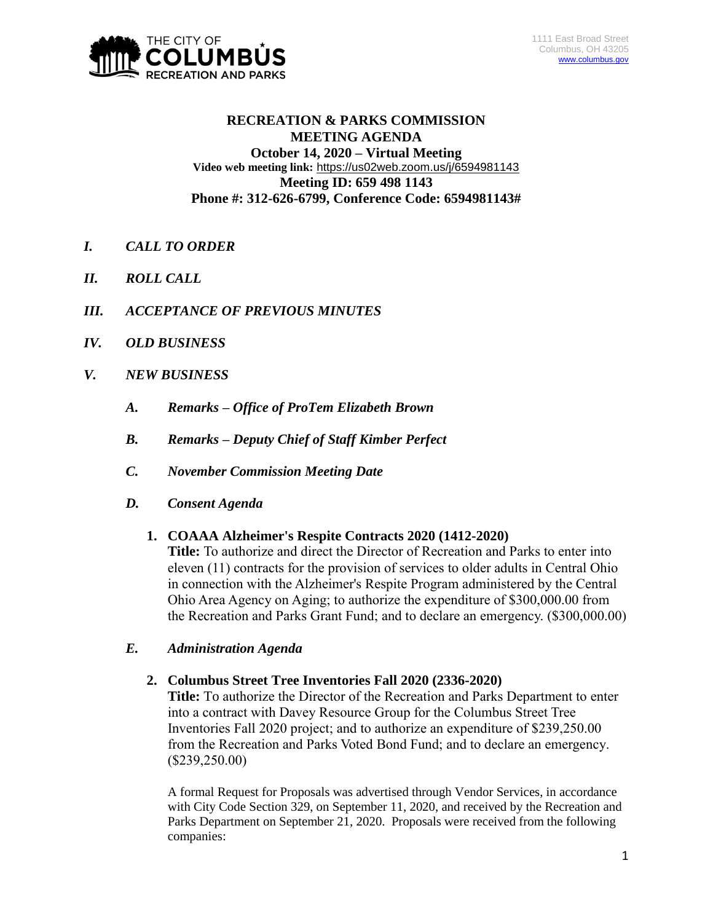

## **RECREATION & PARKS COMMISSION MEETING AGENDA October 14, 2020 – Virtual Meeting Video web meeting link:** <https://us02web.zoom.us/j/6594981143> **Meeting ID: 659 498 1143 Phone #: 312-626-6799, Conference Code: 6594981143#**

- *I. CALL TO ORDER*
- *II. ROLL CALL*
- *III. ACCEPTANCE OF PREVIOUS MINUTES*
- *IV. OLD BUSINESS*
- *V. NEW BUSINESS*
	- *A. Remarks – Office of ProTem Elizabeth Brown*
	- *B. Remarks – Deputy Chief of Staff Kimber Perfect*
	- *C. November Commission Meeting Date*
	- *D. Consent Agenda*

## **1. COAAA Alzheimer's Respite Contracts 2020 (1412-2020)**

**Title:** To authorize and direct the Director of Recreation and Parks to enter into eleven (11) contracts for the provision of services to older adults in Central Ohio in connection with the Alzheimer's Respite Program administered by the Central Ohio Area Agency on Aging; to authorize the expenditure of \$300,000.00 from the Recreation and Parks Grant Fund; and to declare an emergency. (\$300,000.00)

## *E. Administration Agenda*

## **2. Columbus Street Tree Inventories Fall 2020 (2336-2020)**

**Title:** To authorize the Director of the Recreation and Parks Department to enter into a contract with Davey Resource Group for the Columbus Street Tree Inventories Fall 2020 project; and to authorize an expenditure of \$239,250.00 from the Recreation and Parks Voted Bond Fund; and to declare an emergency. (\$239,250.00)

A formal Request for Proposals was advertised through Vendor Services, in accordance with City Code Section 329, on September 11, 2020, and received by the Recreation and Parks Department on September 21, 2020. Proposals were received from the following companies: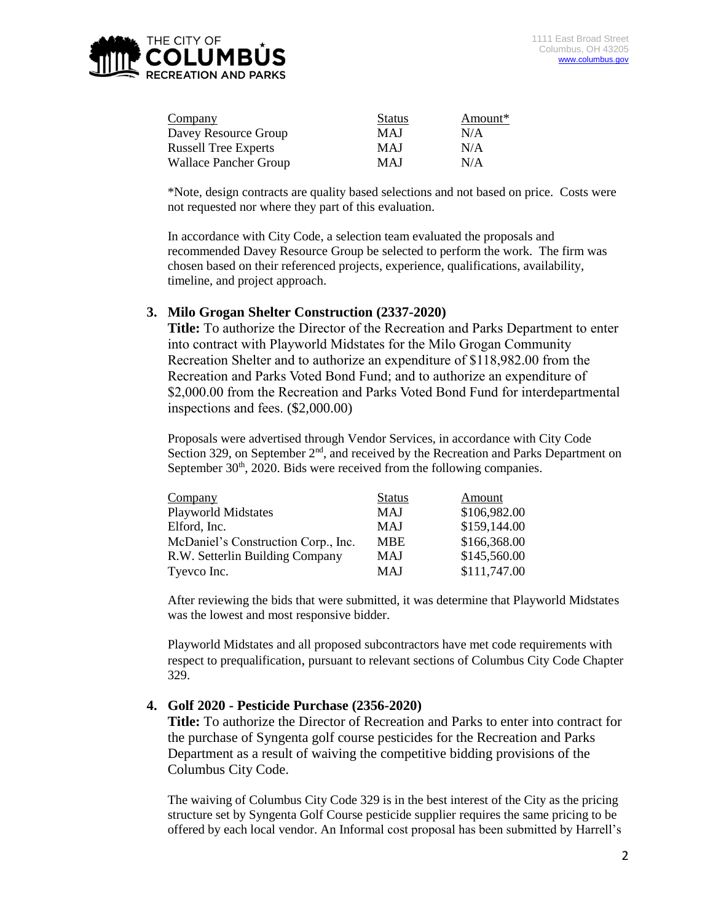

| Company                      | <b>Status</b> | Amount* |
|------------------------------|---------------|---------|
| Davey Resource Group         | <b>MAJ</b>    | N/A     |
| <b>Russell Tree Experts</b>  | <b>MAJ</b>    | N/A     |
| <b>Wallace Pancher Group</b> | <b>MAJ</b>    | N/A     |

\*Note, design contracts are quality based selections and not based on price. Costs were not requested nor where they part of this evaluation.

In accordance with City Code, a selection team evaluated the proposals and recommended Davey Resource Group be selected to perform the work. The firm was chosen based on their referenced projects, experience, qualifications, availability, timeline, and project approach.

#### **3. Milo Grogan Shelter Construction (2337-2020)**

**Title:** To authorize the Director of the Recreation and Parks Department to enter into contract with Playworld Midstates for the Milo Grogan Community Recreation Shelter and to authorize an expenditure of \$118,982.00 from the Recreation and Parks Voted Bond Fund; and to authorize an expenditure of \$2,000.00 from the Recreation and Parks Voted Bond Fund for interdepartmental inspections and fees. (\$2,000.00)

Proposals were advertised through Vendor Services, in accordance with City Code Section 329, on September  $2<sup>nd</sup>$ , and received by the Recreation and Parks Department on September  $30<sup>th</sup>$ ,  $2020$ . Bids were received from the following companies.

| Company                             | <b>Status</b> | Amount       |
|-------------------------------------|---------------|--------------|
| <b>Playworld Midstates</b>          | MAJ           | \$106,982.00 |
| Elford, Inc.                        | <b>MAJ</b>    | \$159,144.00 |
| McDaniel's Construction Corp., Inc. | <b>MBE</b>    | \$166,368.00 |
| R.W. Setterlin Building Company     | MAJ           | \$145,560.00 |
| Tyevco Inc.                         | MAJ           | \$111,747.00 |

After reviewing the bids that were submitted, it was determine that Playworld Midstates was the lowest and most responsive bidder.

Playworld Midstates and all proposed subcontractors have met code requirements with respect to prequalification, pursuant to relevant sections of Columbus City Code Chapter 329.

#### **4. Golf 2020 - Pesticide Purchase (2356-2020)**

**Title:** To authorize the Director of Recreation and Parks to enter into contract for the purchase of Syngenta golf course pesticides for the Recreation and Parks Department as a result of waiving the competitive bidding provisions of the Columbus City Code.

The waiving of Columbus City Code 329 is in the best interest of the City as the pricing structure set by Syngenta Golf Course pesticide supplier requires the same pricing to be offered by each local vendor. An Informal cost proposal has been submitted by Harrell's